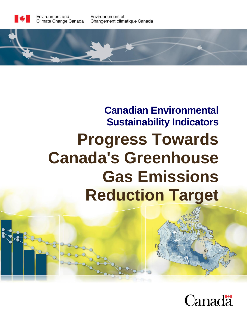

Environnement et Changement climatique Canada



# **Canadian Environmental Sustainability Indicators Progress Towards Canada's Greenhouse Gas Emissions Reduction Target**

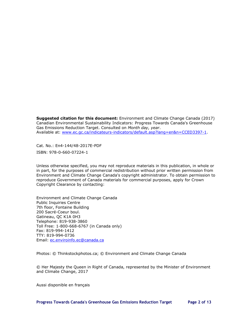**Suggested citation for this document:** Environment and Climate Change Canada (2017) Canadian Environmental Sustainability Indicators: Progress Towards Canada's Greenhouse Gas Emissions Reduction Target. Consulted on *Month day, year*. Available at: [www.ec.gc.ca/indicateurs-indicators/default.asp?lang=en&n=CCED3397-1.](http://www.ec.gc.ca/indicateurs-indicators/default.asp?lang=en&n=CCED3397-1)

Cat. No.: En4-144/48-2017E-PDF ISBN: 978-0-660-07224-1

Unless otherwise specified, you may not reproduce materials in this publication, in whole or in part, for the purposes of commercial redistribution without prior written permission from Environment and Climate Change Canada's copyright administrator. To obtain permission to reproduce Government of Canada materials for commercial purposes, apply for Crown Copyright Clearance by contacting:

Environment and Climate Change Canada Public Inquiries Centre 7th floor, Fontaine Building 200 Sacré-Coeur boul. Gatineau, QC K1A 0H3 Telephone: 819-938-3860 Toll Free: 1-800-668-6767 (in Canada only) Fax: 819-994-1412 TTY: 819-994-0736 Email: [ec.enviroinfo.ec@canada.ca](mailto:ec.enviroinfo.ec@canada.ca)

Photos: © Thinkstockphotos.ca; © Environment and Climate Change Canada

© Her Majesty the Queen in Right of Canada, represented by the Minister of Environment and Climate Change, 2017

Aussi disponible en français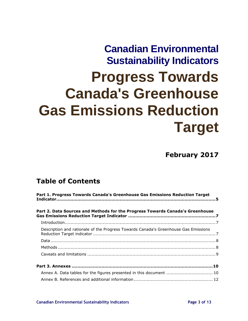# **Canadian Environmental Sustainability Indicators Progress Towards Canada's Greenhouse Gas Emissions Reduction Target**

**February 2017**

# **Table of Contents**

| Part 1. Progress Towards Canada's Greenhouse Gas Emissions Reduction Target         |  |  |  |  |  |  |  |
|-------------------------------------------------------------------------------------|--|--|--|--|--|--|--|
| Part 2. Data Sources and Methods for the Progress Towards Canada's Greenhouse       |  |  |  |  |  |  |  |
|                                                                                     |  |  |  |  |  |  |  |
| Description and rationale of the Progress Towards Canada's Greenhouse Gas Emissions |  |  |  |  |  |  |  |
|                                                                                     |  |  |  |  |  |  |  |
|                                                                                     |  |  |  |  |  |  |  |
|                                                                                     |  |  |  |  |  |  |  |
|                                                                                     |  |  |  |  |  |  |  |
| Annex A. Data tables for the figures presented in this document  10                 |  |  |  |  |  |  |  |
|                                                                                     |  |  |  |  |  |  |  |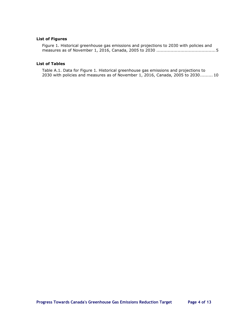### **List of Figures**

[Figure 1. Historical greenhouse gas emissions and projections to 2030 with policies and](#page-4-1)  measures as of November 1, 2016, Canada, 2005 to 2030 [..........................................5](#page-4-1)

#### **List of Tables**

[Table A.1. Data for Figure 1. Historical greenhouse gas emissions and projections to](#page-9-2)  2030 with policies and measures as of November 1, [2016, Canada, 2005 to 2030.........](#page-9-2) 10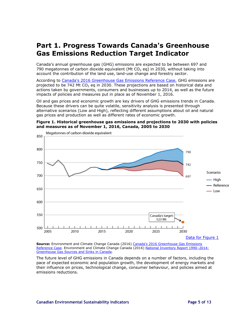# <span id="page-4-0"></span>**Part 1. Progress Towards Canada's Greenhouse Gas Emissions Reduction Target Indicator**

Canada's annual greenhouse gas (GHG) emissions are expected to be between 697 and 790 megatonnes of carbon dioxide equivalent (Mt  $CO<sub>2</sub>$  eq) in 2030, without taking into account the contribution of the land use, land-use change and forestry sector.

According to [Canada's 2016 Greenhouse Gas Emissions Reference Case,](http://ec.gc.ca/GES-GHG/default.asp?lang=En&n=1F24D9EE-1) GHG emissions are projected to be 742 Mt CO<sub>2</sub> eq in 2030. These projections are based on historical data and actions taken by governments, consumers and businesses up to 2014, as well as the future impacts of policies and measures put in place as of November 1, 2016.

Oil and gas prices and economic growth are key drivers of GHG emissions trends in Canada. Because these drivers can be quite volatile, sensitivity analysis is presented through alternative scenarios (Low and High), reflecting different assumptions about oil and natural gas prices and production as well as different rates of economic growth.

### <span id="page-4-1"></span>**Figure 1. Historical greenhouse gas emissions and projections to 2030 with policies and measures as of November 1, 2016, Canada, 2005 to 2030**



**Source:** Environment and Climate Change Canada (2016) [Canada's 2016 Greenhouse Gas](http://ec.gc.ca/GES-GHG/default.asp?lang=En&n=1F24D9EE-1) Emissions [Reference Case.](http://ec.gc.ca/GES-GHG/default.asp?lang=En&n=1F24D9EE-1) Environment and Climate Change Canada (2016) [National Inventory Report 1990](https://www.ec.gc.ca/ges-ghg/default.asp?lang=En&n=83A34A7A-1)-2014: [Greenhouse Gas Sources and Sinks in Canada.](https://www.ec.gc.ca/ges-ghg/default.asp?lang=En&n=83A34A7A-1)

The future level of GHG emissions in Canada depends on a number of factors, including the pace of expected economic and population growth, the development of energy markets and their influence on prices, technological change, consumer behaviour, and policies aimed at emissions reductions.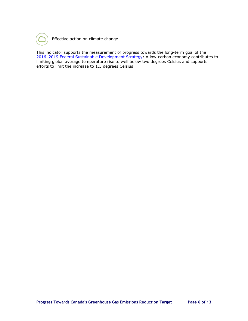

Effective action on climate change

This indicator supports the measurement of progress towards the long-term goal of the 2016–[2019 Federal Sustainable Development Strategy:](http://fsds-sfdd.ca/index.html#/en) A low-carbon economy contributes to limiting global average temperature rise to well below two degrees Celsius and supports efforts to limit the increase to 1.5 degrees Celsius.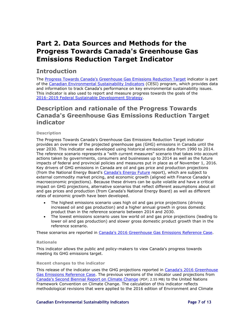# <span id="page-6-0"></span>**Part 2. Data Sources and Methods for the Progress Towards Canada's Greenhouse Gas Emissions Reduction Target Indicator**

## <span id="page-6-1"></span>**Introduction**

The [Progress Towards Canada's Greenhouse Gas Emissions Reduction Target](https://www.ec.gc.ca/indicateurs-indicators/default.asp?lang=en&n=CCED3397-1) indicator is part of the [Canadian Environmental Sustainability Indicators](https://www.ec.gc.ca/indicateurs-indicators/default.asp?lang=En&n=47F48106-1) (CESI) program, which provides data and information to track Canada's performance on key environmental sustainability issues. This indicator is also used to report and measure progress towards the goals of the 2016–[2019 Federal Sustainable Development Strategy.](http://fsds-sfdd.ca/index.html#/en)

## <span id="page-6-2"></span>**Description and rationale of the Progress Towards Canada's Greenhouse Gas Emissions Reduction Target indicator**

## **Description**

The Progress Towards Canada's Greenhouse Gas Emissions Reduction Target indicator provides an overview of the projected greenhouse gas (GHG) emissions in Canada until the year 2030. This indicator was developed using historical emissions data from 1990 to 2014. The reference scenario represents a "with current measures" scenario that takes into account actions taken by governments, consumers and businesses up to 2014 as well as the future impacts of federal and provincial policies and measures put in place as of November 1, 2016. Key drivers of GHG emissions in Canada are oil and gas price and production projections (from the National Energy Board's [Canada's Energy Future](https://www.neb-one.gc.ca/nrg/ntgrtd/ftr/index-eng.html) report), which are subject to external commodity market pricing, and economic growth (aligned with Finance Canada's macroeconomic projections). Because these drivers can be quite volatile and have a critical impact on GHG projections, alternative scenarios that reflect different assumptions about oil and gas prices and production (from Canada's National Energy Board) as well as different rates of economic growth have been developed.

- The highest emissions scenario uses high oil and gas price projections (driving increased oil and gas production) and a higher annual growth in gross domestic product than in the reference scenario between 2014 and 2030.
- The lowest emissions scenario uses low world oil and gas price projections (leading to lower oil and gas production) and slower gross domestic product growth than in the reference scenario.

These scenarios are reported in [Canada's 2016 Greenhouse Gas](http://ec.gc.ca/GES-GHG/default.asp?lang=En&n=1F24D9EE-1) Emissions Reference Case.

### **Rationale**

This indicator allows the public and policy-makers to view Canada's progress towards meeting its GHG emissions target.

#### **Recent changes to the indicator**

This release of the indicator uses the GHG projections reported in Canada's 2016 Greenhouse Gas [Emissions Reference Case.](http://ec.gc.ca/GES-GHG/default.asp?lang=En&n=1F24D9EE-1) The previous versions of the indicator used projections from [Canada's Second Biennial Report on](http://unfccc.int/files/national_reports/biennial_reports_and_iar/submitted_biennial_reports/application/pdf/canadas_2nd_biennial_report.pdf) Climate Change (PDF; 2.55 MB) to the United Nations Framework Convention on Climate Change. The calculation of this indicator reflects methodological revisions that were applied to the 2016 edition of Environment and Climate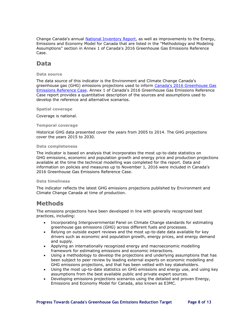Change Canada's annual [National Inventory Report,](https://www.ec.gc.ca/ges-ghg/default.asp?lang=En&n=83A34A7A-1) as well as improvements to the Energy, Emissions and Economy Model for Canada that are listed in the "Methodology and Modeling Assumptions" section in Annex 1 of Canada's 2016 Greenhouse Gas Emissions Reference Case.

## <span id="page-7-0"></span>**Data**

#### **Data source**

The data source of this indicator is the Environment and Climate Change Canada's greenhouse gas (GHG) emissions projections used to inform [Canada's 2016 Greenhouse Gas](http://ec.gc.ca/GES-GHG/default.asp?lang=En&n=1F24D9EE-1) [Emissions Reference Case.](http://ec.gc.ca/GES-GHG/default.asp?lang=En&n=1F24D9EE-1) Annex 1 of Canada's 2016 Greenhouse Gas Emissions Reference Case report provides a quantitative description of the sources and assumptions used to develop the reference and alternative scenarios.

#### **Spatial coverage**

Coverage is national.

#### **Temporal coverage**

Historical GHG data presented cover the years from 2005 to 2014. The GHG projections cover the years 2015 to 2030.

#### **Data completeness**

The indicator is based on analysis that incorporates the most up-to-date statistics on GHG emissions, economic and population growth and energy price and production projections available at the time the technical modelling was completed for the report. Data and information on policies and measures up to November 1, 2016 were included in Canada's 2016 Greenhouse Gas Emissions Reference Case.

#### **Data timeliness**

The indicator reflects the latest GHG emissions projections published by Environment and Climate Change Canada at time of production.

## <span id="page-7-1"></span>**Methods**

The emissions projections have been developed in line with generally recognized best practices, including:

- Incorporating Intergovernmental Panel on Climate Change standards for estimating greenhouse gas emissions (GHG) across different fuels and processes.
- Relying on outside expert reviews and the most up-to-date data available for key drivers such as economic and population growth, energy prices, and energy demand and supply.
- Applying an internationally recognized energy and macroeconomic modelling framework for estimating emissions and economic interactions.
- Using a methodology to develop the projections and underlying assumptions that has been subject to peer review by leading external experts on economic modelling and GHG emissions projections, and that has been vetted with key stakeholders.
- Using the most up-to-date statistics on GHG emissions and energy use, and using key assumptions from the best available public and private expert sources.
- Developing emissions projections scenarios using the detailed and proven Energy, Emissions and Economy Model for Canada, also known as E3MC.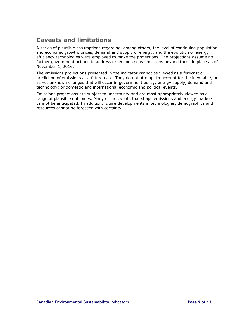## <span id="page-8-0"></span>**Caveats and limitations**

A series of plausible assumptions regarding, among others, the level of continuing population and economic growth, prices, demand and supply of energy, and the evolution of energy efficiency technologies were employed to make the projections. The projections assume no further government actions to address greenhouse gas emissions beyond those in place as of November 1, 2016.

The emissions projections presented in the indicator cannot be viewed as a forecast or prediction of emissions at a future date. They do not attempt to account for the inevitable, or as yet unknown changes that will occur in government policy; energy supply, demand and technology; or domestic and international economic and political events.

Emissions projections are subject to uncertainty and are most appropriately viewed as a range of plausible outcomes. Many of the events that shape emissions and energy markets cannot be anticipated. In addition, future developments in technologies, demographics and resources cannot be foreseen with certainty.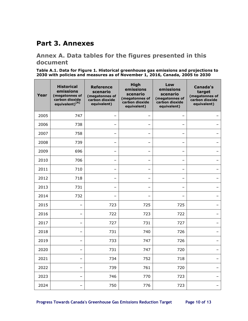## <span id="page-9-0"></span>**Part 3. Annexes**

## <span id="page-9-1"></span>**Annex A. Data tables for the figures presented in this document**

<span id="page-9-2"></span>**Table A.1. Data for [Figure 1. Historical greenhouse gas emissions and projections to](#page-4-1)  [2030 with policies and measures as of November](#page-4-1) 1, 2016, Canada, 2005 to 2030**

| Year | <b>Historical</b><br>emissions<br>(megatonnes of<br>carbon dioxide<br>equivalent) <sup>[A]</sup> | <b>Reference</b><br>scenario<br>(megatonnes of<br>carbon dioxide<br>equivalent) | <b>High</b><br>emissions<br>scenario<br>(megatonnes of<br>carbon dioxide<br>equivalent) | Low<br>emissions<br>scenario<br>(megatonnes of<br>carbon dioxide<br>equivalent) | <b>Canada's</b><br>target<br>(megatonnes of<br>carbon dioxide<br>equivalent) |
|------|--------------------------------------------------------------------------------------------------|---------------------------------------------------------------------------------|-----------------------------------------------------------------------------------------|---------------------------------------------------------------------------------|------------------------------------------------------------------------------|
| 2005 | 747                                                                                              | $\overline{\phantom{0}}$                                                        |                                                                                         |                                                                                 |                                                                              |
| 2006 | 738                                                                                              |                                                                                 |                                                                                         |                                                                                 |                                                                              |
| 2007 | 758                                                                                              |                                                                                 | <u>.</u>                                                                                |                                                                                 |                                                                              |
| 2008 | 739                                                                                              | $\overline{\phantom{0}}$                                                        | —                                                                                       |                                                                                 |                                                                              |
| 2009 | 696                                                                                              |                                                                                 |                                                                                         |                                                                                 |                                                                              |
| 2010 | 706                                                                                              | -                                                                               | $\overline{\phantom{0}}$                                                                |                                                                                 |                                                                              |
| 2011 | 710                                                                                              | $\equiv$                                                                        | $\overline{\phantom{0}}$                                                                |                                                                                 |                                                                              |
| 2012 | 718                                                                                              | $\overline{\phantom{0}}$                                                        | —                                                                                       |                                                                                 |                                                                              |
| 2013 | 731                                                                                              |                                                                                 |                                                                                         |                                                                                 |                                                                              |
| 2014 | 732                                                                                              |                                                                                 | <u>.</u>                                                                                |                                                                                 |                                                                              |
| 2015 |                                                                                                  | 723                                                                             | 725                                                                                     | 725                                                                             |                                                                              |
| 2016 |                                                                                                  | 722                                                                             | 723                                                                                     | 722                                                                             |                                                                              |
| 2017 |                                                                                                  | 727                                                                             | 731                                                                                     | 727                                                                             |                                                                              |
| 2018 |                                                                                                  | 731                                                                             | 740                                                                                     | 726                                                                             |                                                                              |
| 2019 |                                                                                                  | 733                                                                             | 747                                                                                     | 726                                                                             |                                                                              |
| 2020 |                                                                                                  | 731                                                                             | 747                                                                                     | 720                                                                             |                                                                              |
| 2021 |                                                                                                  | 734                                                                             | 752                                                                                     | 718                                                                             |                                                                              |
| 2022 |                                                                                                  | 739                                                                             | 761                                                                                     | 720                                                                             |                                                                              |
| 2023 |                                                                                                  | 746                                                                             | 770                                                                                     | 723                                                                             |                                                                              |
| 2024 |                                                                                                  | 750                                                                             | 776                                                                                     | 723                                                                             |                                                                              |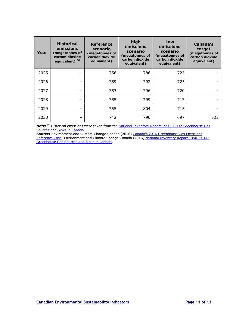| Year | <b>Historical</b><br>emissions<br>(megatonnes of<br>carbon dioxide<br>equivalent) <sup>[A]</sup> | <b>Reference</b><br>scenario<br>(megatonnes of<br>carbon dioxide<br>equivalent) | <b>High</b><br>emissions<br>scenario<br>(megatonnes of<br>carbon dioxide<br>equivalent) | Low<br>emissions<br>scenario<br>(megatonnes of<br>carbon dioxide<br>equivalent) | Canada's<br>target<br>(megatonnes of<br>carbon dioxide<br>equivalent) |
|------|--------------------------------------------------------------------------------------------------|---------------------------------------------------------------------------------|-----------------------------------------------------------------------------------------|---------------------------------------------------------------------------------|-----------------------------------------------------------------------|
| 2025 |                                                                                                  | 756                                                                             | 786                                                                                     | 725                                                                             |                                                                       |
| 2026 |                                                                                                  | 759                                                                             | 792                                                                                     | 725                                                                             |                                                                       |
| 2027 |                                                                                                  | 757                                                                             | 796                                                                                     | 720                                                                             |                                                                       |
| 2028 |                                                                                                  | 755                                                                             | 799                                                                                     | 717                                                                             |                                                                       |
| 2029 |                                                                                                  | 755                                                                             | 804                                                                                     | 715                                                                             |                                                                       |
| 2030 |                                                                                                  | 742                                                                             | 790                                                                                     | 697                                                                             | 523                                                                   |

**Note:** [A] Historical emissions were taken from the [National Inventory Report 1990](https://www.ec.gc.ca/ges-ghg/default.asp?lang=En&n=83A34A7A-1)–2014: Greenhouse Gas [Sources and Sinks in Canada.](https://www.ec.gc.ca/ges-ghg/default.asp?lang=En&n=83A34A7A-1)

**Source:** Environment and Climate Change Canada (2016) [Canada's 2016 Greenhouse Gas](http://ec.gc.ca/GES-GHG/default.asp?lang=En&n=1F24D9EE-1) Emissions [Reference Case.](http://ec.gc.ca/GES-GHG/default.asp?lang=En&n=1F24D9EE-1) Environment and Climate Change Canada (2016) [National Inventory Report 1990](https://www.ec.gc.ca/ges-ghg/default.asp?lang=En&n=83A34A7A-1)-2014: [Greenhouse Gas Sources and Sinks in Canada.](https://www.ec.gc.ca/ges-ghg/default.asp?lang=En&n=83A34A7A-1)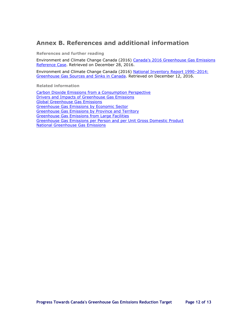## <span id="page-11-0"></span>**Annex B. References and additional information**

**References and further reading**

Environment and Climate Change Canada (2016) [Canada's 2016 Greenhouse Gas](http://ec.gc.ca/GES-GHG/default.asp?lang=En&n=1F24D9EE-1) Emissions [Reference Case.](http://ec.gc.ca/GES-GHG/default.asp?lang=En&n=1F24D9EE-1) Retrieved on December 28, 2016.

Environment and Climate Change Canada (2016) [National Inventory Report 1990](https://www.ec.gc.ca/ges-ghg/default.asp?lang=En&n=83A34A7A-1)–2014: [Greenhouse Gas Sources and Sinks in Canada.](https://www.ec.gc.ca/ges-ghg/default.asp?lang=En&n=83A34A7A-1) Retrieved on December 12, 2016.

**Related information**

[Carbon Dioxide Emissions from a Consumption Perspective](http://www.ec.gc.ca/indicateurs-indicators/default.asp?lang=en&n=7BA2C0DA-1) [Drivers and Impacts of Greenhouse Gas Emissions](http://www.ec.gc.ca/indicateurs-indicators/default.asp?lang=En&n=D4C4DBAB-1) [Global Greenhouse Gas Emissions](http://www.ec.gc.ca/indicateurs-indicators/default.asp?lang=en&n=54C061B5-1) [Greenhouse Gas Emissions by Economic Sector](http://www.ec.gc.ca/indicateurs-indicators/default.asp?lang=en&n=F60DB708-1) [Greenhouse Gas Emissions by Province and Territory](http://www.ec.gc.ca/indicateurs-indicators/default.asp?lang=en&n=18F3BB9C-1) [Greenhouse Gas Emissions from Large Facilities](http://www.ec.gc.ca/indicateurs-indicators/default.asp?lang=en&n=31022B8E-1) [Greenhouse Gas Emissions per Person and per Unit Gross Domestic Product](http://www.ec.gc.ca/indicateurs-indicators/default.asp?lang=en&n=79BA5699-1) [National Greenhouse Gas Emissions](http://www.ec.gc.ca/indicateurs-indicators/default.asp?lang=en&n=FBF8455E-1)